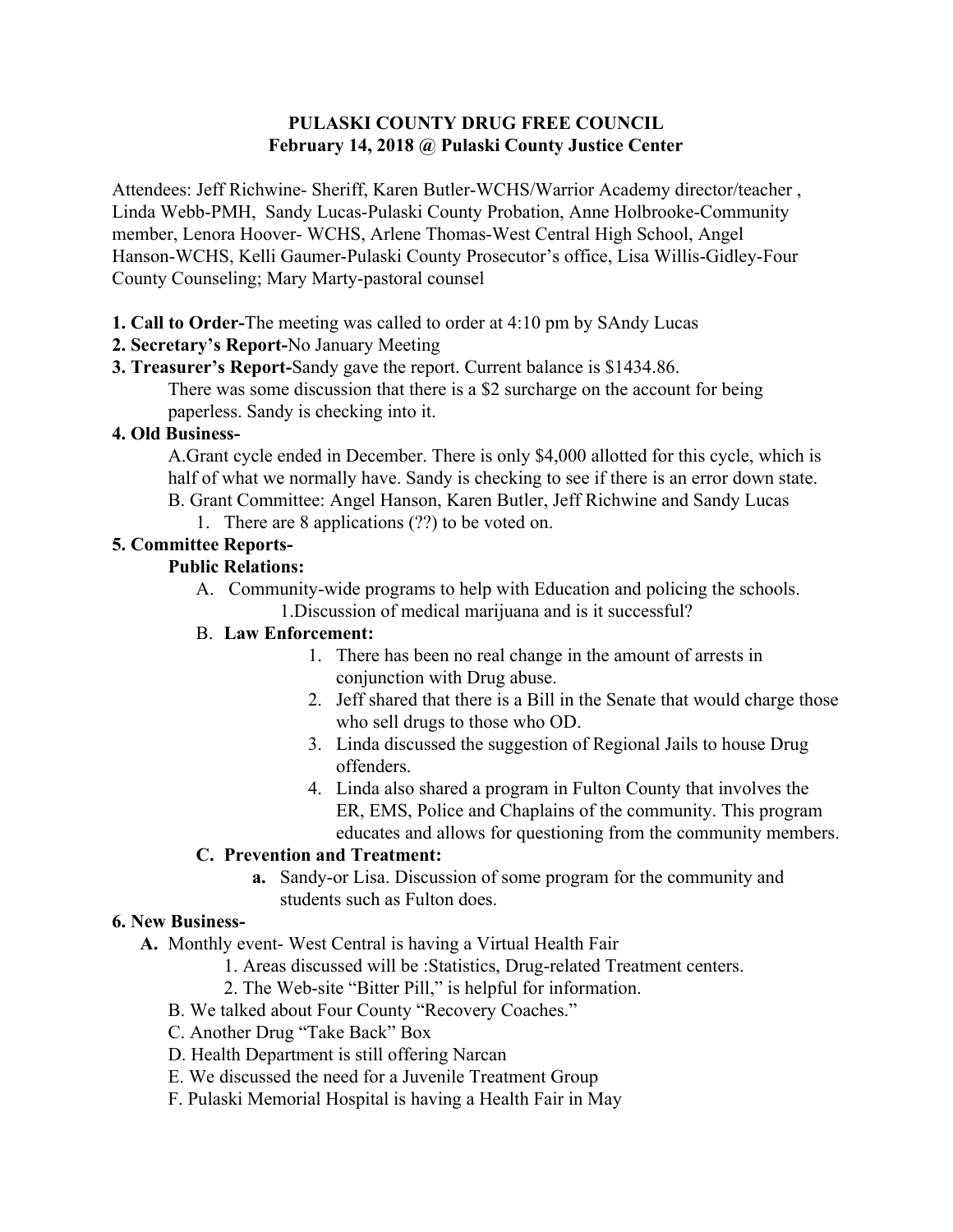## **PULASKI COUNTY DRUG FREE COUNCIL February 14, 2018 @ Pulaski County Justice Center**

Attendees: Jeff Richwine- Sheriff, Karen Butler-WCHS/Warrior Academy director/teacher , Linda Webb-PMH, Sandy Lucas-Pulaski County Probation, Anne Holbrooke-Community member, Lenora Hoover- WCHS, Arlene Thomas-West Central High School, Angel Hanson-WCHS, Kelli Gaumer-Pulaski County Prosecutor's office, Lisa Willis-Gidley-Four County Counseling; Mary Marty-pastoral counsel

**1. Call to Order-**The meeting was called to order at 4:10 pm by SAndy Lucas

# **2. Secretary's Report-**No January Meeting

**3. Treasurer's Report-**Sandy gave the report. Current balance is \$1434.86. There was some discussion that there is a \$2 surcharge on the account for being paperless. Sandy is checking into it.

## **4. Old Business-**

A.Grant cycle ended in December. There is only \$4,000 allotted for this cycle, which is half of what we normally have. Sandy is checking to see if there is an error down state. B. Grant Committee: Angel Hanson, Karen Butler, Jeff Richwine and Sandy Lucas

1. There are 8 applications (??) to be voted on.

# **5. Committee Reports-**

## **Public Relations:**

A. Community-wide programs to help with Education and policing the schools. 1.Discussion of medical marijuana and is it successful?

#### B. **Law Enforcement:**

- 1. There has been no real change in the amount of arrests in conjunction with Drug abuse.
- 2. Jeff shared that there is a Bill in the Senate that would charge those who sell drugs to those who OD.
- 3. Linda discussed the suggestion of Regional Jails to house Drug offenders.
- 4. Linda also shared a program in Fulton County that involves the ER, EMS, Police and Chaplains of the community. This program educates and allows for questioning from the community members.

# **C. Prevention and Treatment:**

**a.** Sandy-or Lisa. Discussion of some program for the community and students such as Fulton does.

#### **6. New Business-**

- **A.** Monthly event- West Central is having a Virtual Health Fair
	- 1. Areas discussed will be :Statistics, Drug-related Treatment centers.
	- 2. The Web-site "Bitter Pill," is helpful for information.
	- B. We talked about Four County "Recovery Coaches."
	- C. Another Drug "Take Back" Box
	- D. Health Department is still offering Narcan
	- E. We discussed the need for a Juvenile Treatment Group
	- F. Pulaski Memorial Hospital is having a Health Fair in May